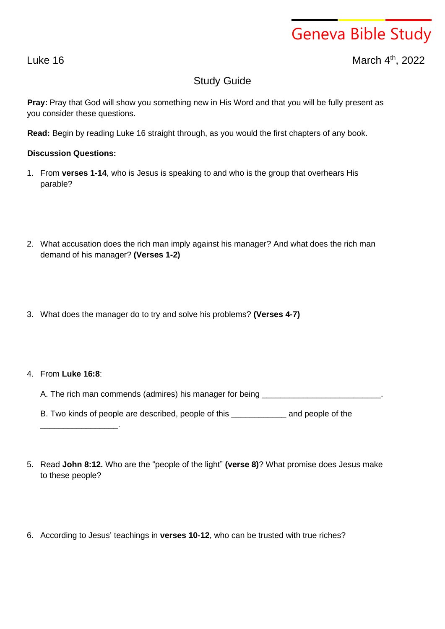## Geneva Bible Study

Luke 16 March 4

th , 2022

## Study Guide

**Pray:** Pray that God will show you something new in His Word and that you will be fully present as you consider these questions.

**Read:** Begin by reading Luke 16 straight through, as you would the first chapters of any book.

## **Discussion Questions:**

- 1. From **verses 1-14**, who is Jesus is speaking to and who is the group that overhears His parable?
- 2. What accusation does the rich man imply against his manager? And what does the rich man demand of his manager? **(Verses 1-2)**
- 3. What does the manager do to try and solve his problems? **(Verses 4-7)**

## 4. From **Luke 16:8**:

\_\_\_\_\_\_\_\_\_\_\_\_\_\_\_\_\_.

A. The rich man commends (admires) his manager for being \_\_\_\_\_\_\_\_\_\_\_\_\_\_\_\_\_\_\_\_\_\_\_

B. Two kinds of people are described, people of this \_\_\_\_\_\_\_\_\_\_\_\_ and people of the

- 5. Read **John 8:12.** Who are the "people of the light" **(verse 8)**? What promise does Jesus make to these people?
- 6. According to Jesus' teachings in **verses 10-12**, who can be trusted with true riches?